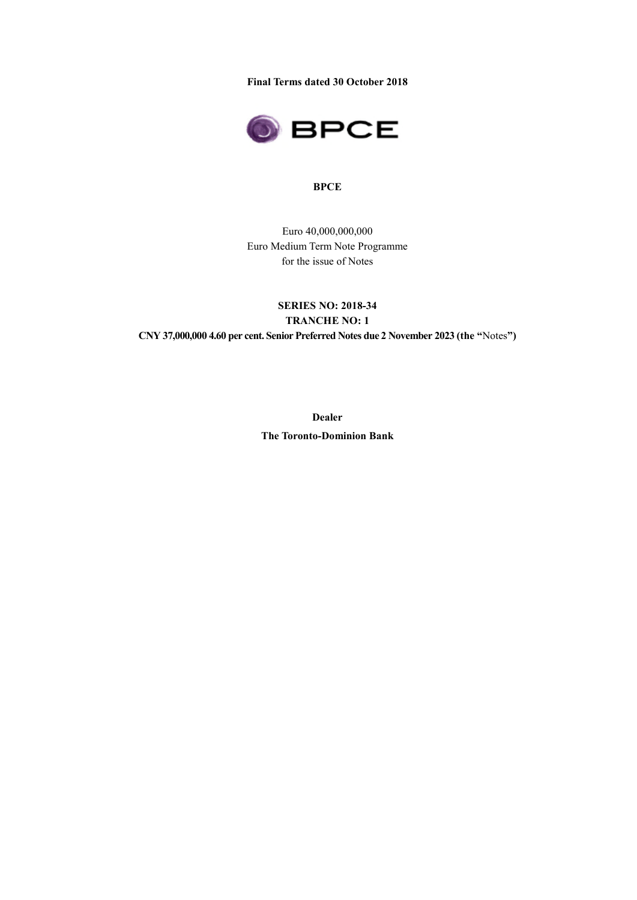**Final Terms dated 30 October 2018** 



#### **BPCE**

Euro 40,000,000,000 Euro Medium Term Note Programme for the issue of Notes

# **SERIES NO: 2018-34 TRANCHE NO: 1 CNY 37,000,000 4.60 per cent. Senior Preferred Notes due 2 November 2023 (the "**Notes**")**

**Dealer The Toronto-Dominion Bank**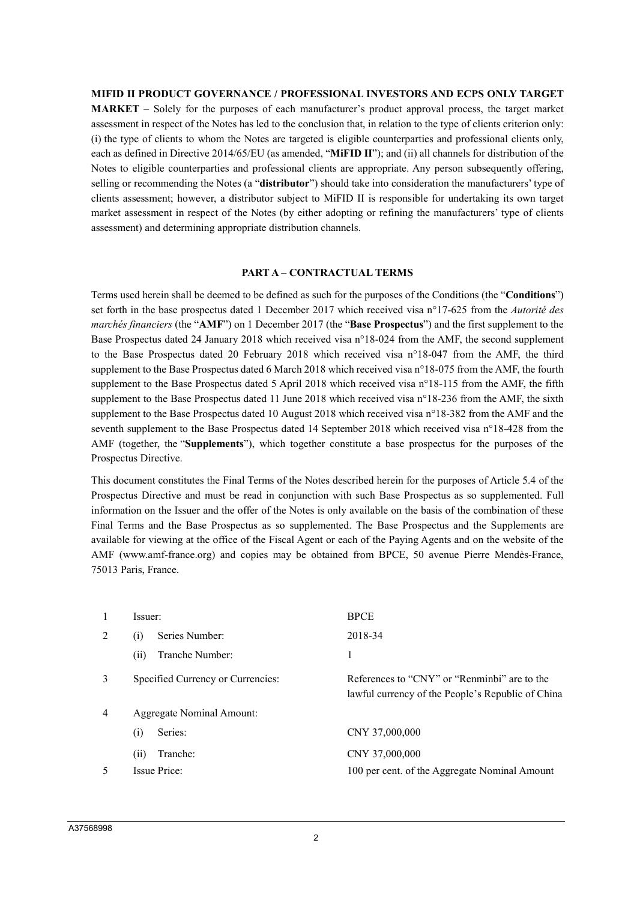#### **MIFID II PRODUCT GOVERNANCE / PROFESSIONAL INVESTORS AND ECPS ONLY TARGET**

**MARKET** – Solely for the purposes of each manufacturer's product approval process, the target market assessment in respect of the Notes has led to the conclusion that, in relation to the type of clients criterion only: (i) the type of clients to whom the Notes are targeted is eligible counterparties and professional clients only, each as defined in Directive 2014/65/EU (as amended, "**MiFID II**"); and (ii) all channels for distribution of the Notes to eligible counterparties and professional clients are appropriate. Any person subsequently offering, selling or recommending the Notes (a "**distributor**") should take into consideration the manufacturers' type of clients assessment; however, a distributor subject to MiFID II is responsible for undertaking its own target market assessment in respect of the Notes (by either adopting or refining the manufacturers' type of clients assessment) and determining appropriate distribution channels.

#### **PART A – CONTRACTUAL TERMS**

Terms used herein shall be deemed to be defined as such for the purposes of the Conditions (the "**Conditions**") set forth in the base prospectus dated 1 December 2017 which received visa n°17-625 from the *Autorité des marchés financiers* (the "**AMF**") on 1 December 2017 (the "**Base Prospectus**") and the first supplement to the Base Prospectus dated 24 January 2018 which received visa n°18-024 from the AMF, the second supplement to the Base Prospectus dated 20 February 2018 which received visa n°18-047 from the AMF, the third supplement to the Base Prospectus dated 6 March 2018 which received visa n°18-075 from the AMF, the fourth supplement to the Base Prospectus dated 5 April 2018 which received visa n°18-115 from the AMF, the fifth supplement to the Base Prospectus dated 11 June 2018 which received visa n°18-236 from the AMF, the sixth supplement to the Base Prospectus dated 10 August 2018 which received visa n°18-382 from the AMF and the seventh supplement to the Base Prospectus dated 14 September 2018 which received visa n°18-428 from the AMF (together, the "**Supplements**"), which together constitute a base prospectus for the purposes of the Prospectus Directive.

This document constitutes the Final Terms of the Notes described herein for the purposes of Article 5.4 of the Prospectus Directive and must be read in conjunction with such Base Prospectus as so supplemented. Full information on the Issuer and the offer of the Notes is only available on the basis of the combination of these Final Terms and the Base Prospectus as so supplemented. The Base Prospectus and the Supplements are available for viewing at the office of the Fiscal Agent or each of the Paying Agents and on the website of the AMF (www.amf-france.org) and copies may be obtained from BPCE, 50 avenue Pierre Mendès-France, 75013 Paris, France.

|                | Issuer:                           | <b>BPCE</b>                                                                                       |
|----------------|-----------------------------------|---------------------------------------------------------------------------------------------------|
| 2              | Series Number:<br>(i)             | 2018-34                                                                                           |
|                | Tranche Number:<br>(i)            |                                                                                                   |
| 3              | Specified Currency or Currencies: | References to "CNY" or "Renminbi" are to the<br>lawful currency of the People's Republic of China |
| $\overline{4}$ | <b>Aggregate Nominal Amount:</b>  |                                                                                                   |
|                | Series:<br>(i)                    | CNY 37,000,000                                                                                    |
|                | Tranche:<br>(11)                  | CNY 37,000,000                                                                                    |
| 5              | Issue Price:                      | 100 per cent. of the Aggregate Nominal Amount                                                     |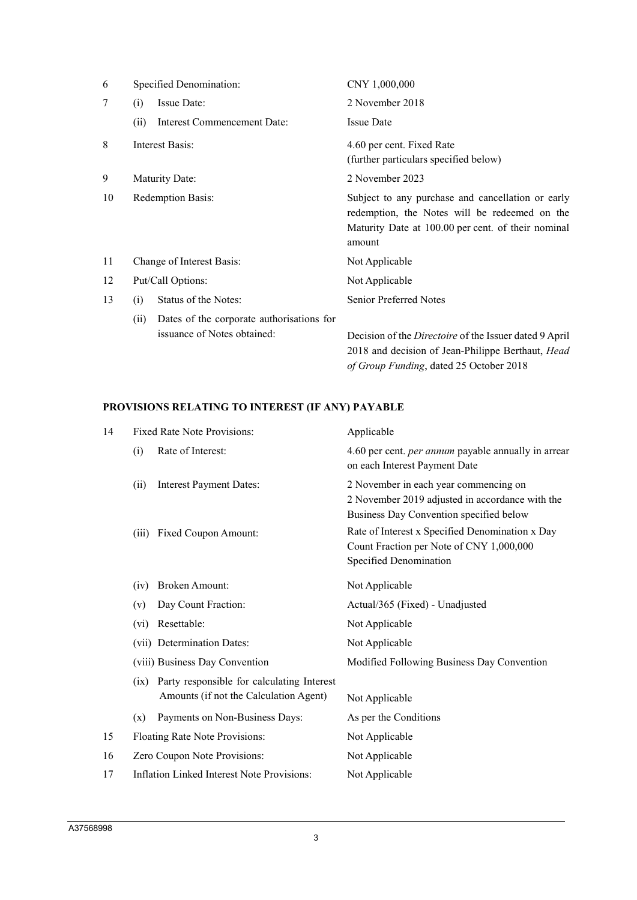| 6  | Specified Denomination:                                                          | CNY 1,000,000                                                                                                                                                      |  |
|----|----------------------------------------------------------------------------------|--------------------------------------------------------------------------------------------------------------------------------------------------------------------|--|
| 7  | Issue Date:<br>(i)                                                               | 2 November 2018                                                                                                                                                    |  |
|    | <b>Interest Commencement Date:</b><br>(ii)                                       | <b>Issue Date</b>                                                                                                                                                  |  |
| 8  | Interest Basis:                                                                  | 4.60 per cent. Fixed Rate<br>(further particulars specified below)                                                                                                 |  |
| 9  | Maturity Date:                                                                   | 2 November 2023                                                                                                                                                    |  |
| 10 | <b>Redemption Basis:</b>                                                         | Subject to any purchase and cancellation or early<br>redemption, the Notes will be redeemed on the<br>Maturity Date at 100.00 per cent. of their nominal<br>amount |  |
| 11 | Change of Interest Basis:                                                        | Not Applicable                                                                                                                                                     |  |
| 12 | Put/Call Options:                                                                | Not Applicable                                                                                                                                                     |  |
| 13 | Status of the Notes:<br>(i)                                                      | <b>Senior Preferred Notes</b>                                                                                                                                      |  |
|    | Dates of the corporate authorisations for<br>(ii)<br>issuance of Notes obtained: | Decision of the <i>Directoire</i> of the Issuer dated 9 April<br>2018 and decision of Jean-Philippe Berthaut, Head                                                 |  |

*of Group Funding*, dated 25 October 2018

# **PROVISIONS RELATING TO INTEREST (IF ANY) PAYABLE**

| 14 |                                                                                                                                | <b>Fixed Rate Note Provisions:</b>                | Applicable                                                                                                                          |  |
|----|--------------------------------------------------------------------------------------------------------------------------------|---------------------------------------------------|-------------------------------------------------------------------------------------------------------------------------------------|--|
|    | (i)                                                                                                                            | Rate of Interest:                                 | 4.60 per cent. <i>per annum</i> payable annually in arrear<br>on each Interest Payment Date                                         |  |
|    | (ii)                                                                                                                           | <b>Interest Payment Dates:</b>                    | 2 November in each year commencing on<br>2 November 2019 adjusted in accordance with the<br>Business Day Convention specified below |  |
|    | (iii)                                                                                                                          | Fixed Coupon Amount:                              | Rate of Interest x Specified Denomination x Day<br>Count Fraction per Note of CNY 1,000,000<br>Specified Denomination               |  |
|    | (iv)                                                                                                                           | <b>Broken Amount:</b>                             | Not Applicable                                                                                                                      |  |
|    | (v)                                                                                                                            | Day Count Fraction:                               | Actual/365 (Fixed) - Unadjusted                                                                                                     |  |
|    | $(v_i)$                                                                                                                        | Resettable:                                       | Not Applicable                                                                                                                      |  |
|    |                                                                                                                                | (vii) Determination Dates:                        | Not Applicable                                                                                                                      |  |
|    | (viii) Business Day Convention<br>Party responsible for calculating Interest<br>(ix)<br>Amounts (if not the Calculation Agent) |                                                   | Modified Following Business Day Convention                                                                                          |  |
|    |                                                                                                                                |                                                   | Not Applicable                                                                                                                      |  |
|    | (x)                                                                                                                            | Payments on Non-Business Days:                    | As per the Conditions                                                                                                               |  |
| 15 |                                                                                                                                | Floating Rate Note Provisions:                    | Not Applicable                                                                                                                      |  |
| 16 |                                                                                                                                | Zero Coupon Note Provisions:                      | Not Applicable                                                                                                                      |  |
| 17 |                                                                                                                                | <b>Inflation Linked Interest Note Provisions:</b> | Not Applicable                                                                                                                      |  |
|    |                                                                                                                                |                                                   |                                                                                                                                     |  |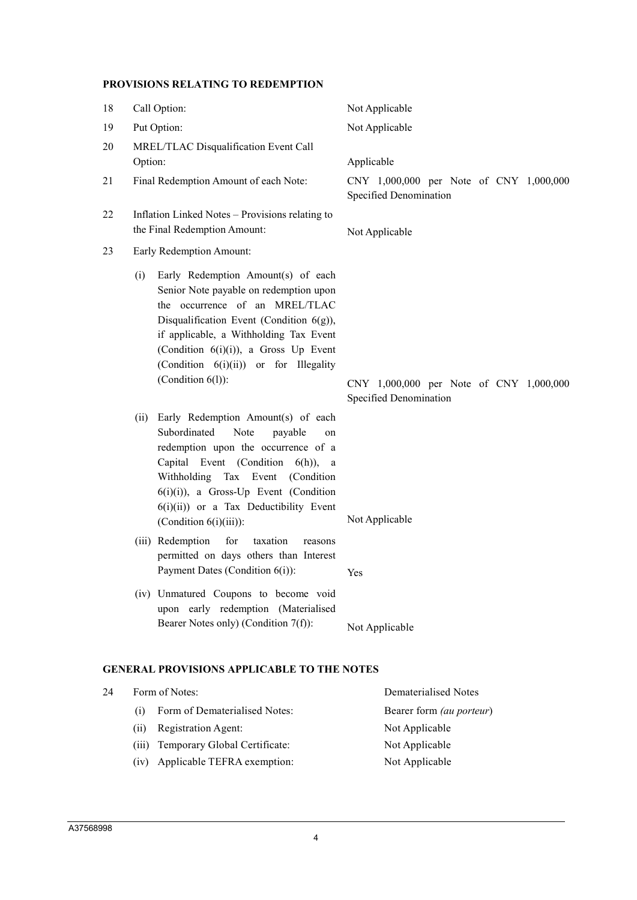# **PROVISIONS RELATING TO REDEMPTION**

| 18 | Call Option:                                                                                                                                                                                                                                                                                                           | Not Applicable                                                    |  |
|----|------------------------------------------------------------------------------------------------------------------------------------------------------------------------------------------------------------------------------------------------------------------------------------------------------------------------|-------------------------------------------------------------------|--|
| 19 | Put Option:                                                                                                                                                                                                                                                                                                            | Not Applicable                                                    |  |
| 20 | MREL/TLAC Disqualification Event Call<br>Option:                                                                                                                                                                                                                                                                       | Applicable                                                        |  |
| 21 | Final Redemption Amount of each Note:                                                                                                                                                                                                                                                                                  | CNY 1,000,000 per Note of CNY 1,000,000<br>Specified Denomination |  |
| 22 | Inflation Linked Notes - Provisions relating to<br>the Final Redemption Amount:                                                                                                                                                                                                                                        | Not Applicable                                                    |  |
| 23 | Early Redemption Amount:                                                                                                                                                                                                                                                                                               |                                                                   |  |
|    | Early Redemption Amount(s) of each<br>(i)<br>Senior Note payable on redemption upon<br>the occurrence of an MREL/TLAC<br>Disqualification Event (Condition $6(g)$ ),<br>if applicable, a Withholding Tax Event<br>(Condition 6(i)(i)), a Gross Up Event<br>(Condition 6(i)(ii)) or for Illegality<br>(Condition 6(1)): | CNY 1,000,000 per Note of CNY 1,000,000<br>Specified Denomination |  |
|    | Early Redemption Amount(s) of each<br>(ii)<br>Subordinated<br>Note<br>payable<br>on<br>redemption upon the occurrence of a<br>Capital Event (Condition 6(h)), a<br>Withholding Tax Event (Condition<br>$6(i)(i)$ , a Gross-Up Event (Condition<br>$6(i)(ii)$ or a Tax Deductibility Event<br>(Condition $6(i)(iii)$ ): | Not Applicable                                                    |  |
|    | (iii) Redemption<br>for<br>taxation<br>reasons<br>permitted on days others than Interest<br>Payment Dates (Condition 6(i)):                                                                                                                                                                                            | Yes                                                               |  |
|    | (iv) Unmatured Coupons to become void<br>upon early redemption (Materialised<br>Bearer Notes only) (Condition 7(f)):                                                                                                                                                                                                   | Not Applicable                                                    |  |
|    | <b>GENERAL PROVISIONS APPLICABLE TO THE NOTES</b>                                                                                                                                                                                                                                                                      |                                                                   |  |
| 24 | Form of Notes:                                                                                                                                                                                                                                                                                                         | Dematerialised Notes                                              |  |
|    | Form of Dematerialised Notes:<br>(i)                                                                                                                                                                                                                                                                                   | Bearer form (au porteur)                                          |  |

- (ii) Registration Agent: Not Applicable
- (iii) Temporary Global Certificate: Not Applicable
- (iv) Applicable TEFRA exemption: Not Applicable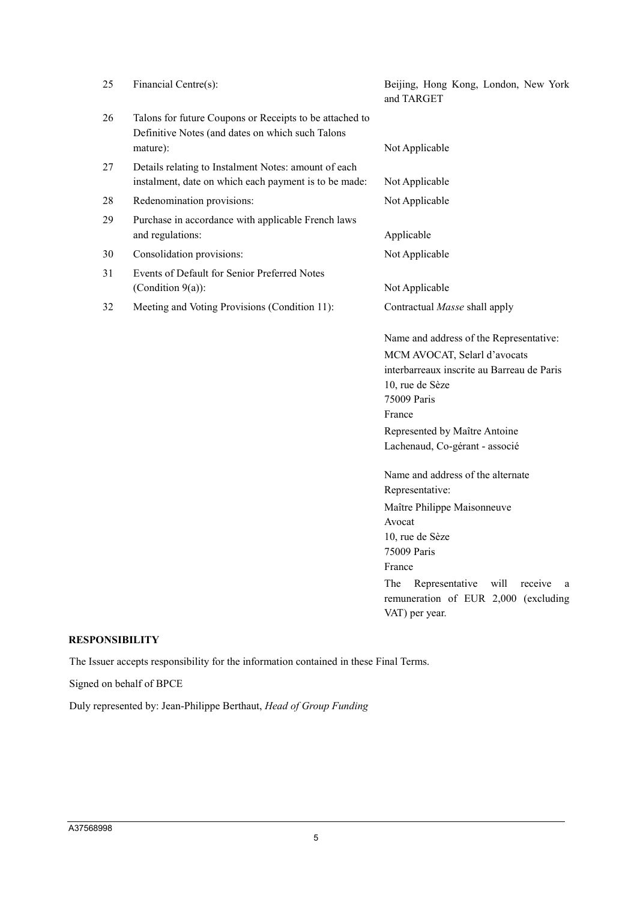| 25 | Financial Centre(s):                                                                                          | Beijing, Hong Kong, London, New York<br>and TARGET |
|----|---------------------------------------------------------------------------------------------------------------|----------------------------------------------------|
| 26 | Talons for future Coupons or Receipts to be attached to                                                       |                                                    |
|    | Definitive Notes (and dates on which such Talons                                                              |                                                    |
|    | mature):                                                                                                      | Not Applicable                                     |
| 27 | Details relating to Instalment Notes: amount of each<br>instalment, date on which each payment is to be made: | Not Applicable                                     |
| 28 | Redenomination provisions:                                                                                    | Not Applicable                                     |
| 29 | Purchase in accordance with applicable French laws                                                            |                                                    |
|    | and regulations:                                                                                              | Applicable                                         |
| 30 | Consolidation provisions:                                                                                     | Not Applicable                                     |
| 31 | Events of Default for Senior Preferred Notes                                                                  |                                                    |
|    | (Condition $9(a)$ ):                                                                                          | Not Applicable                                     |
| 32 | Meeting and Voting Provisions (Condition 11):                                                                 | Contractual Masse shall apply                      |
|    |                                                                                                               | Name and address of the Representative:            |
|    |                                                                                                               | MCM AVOCAT, Selarl d'avocats                       |
|    |                                                                                                               | interbarreaux inscrite au Barreau de Paris         |
|    |                                                                                                               | 10, rue de Sèze<br>75009 Paris                     |
|    |                                                                                                               | France                                             |
|    |                                                                                                               | Represented by Maître Antoine                      |
|    |                                                                                                               | Lachenaud, Co-gérant - associé                     |
|    |                                                                                                               |                                                    |
|    |                                                                                                               | Name and address of the alternate                  |
|    |                                                                                                               | Representative:                                    |
|    |                                                                                                               | Maître Philippe Maisonneuve                        |
|    |                                                                                                               | Avocat<br>10, rue de Sèze                          |
|    |                                                                                                               | 75009 Paris                                        |
|    |                                                                                                               | France                                             |
|    |                                                                                                               | The<br>will<br>Representative<br>receive<br>a      |
|    |                                                                                                               | remuneration of EUR 2,000 (excluding               |
|    |                                                                                                               | VAT) per year.                                     |
|    |                                                                                                               |                                                    |

# **RESPONSIBILITY**

The Issuer accepts responsibility for the information contained in these Final Terms.

Signed on behalf of BPCE

Duly represented by: Jean-Philippe Berthaut, *Head of Group Funding*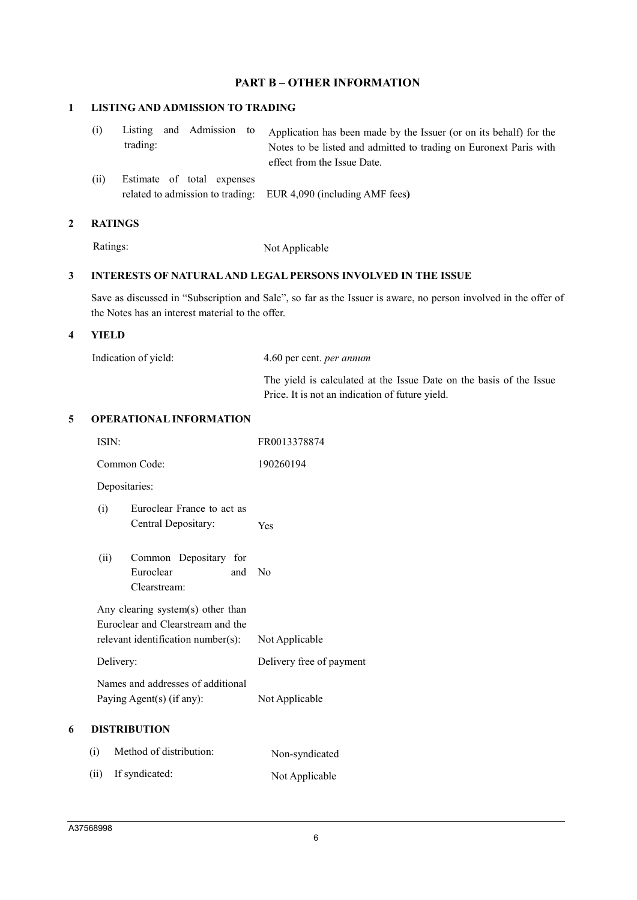# **PART B – OTHER INFORMATION**

#### **1 LISTING AND ADMISSION TO TRADING**

| trading: |  | (i) Listing and Admission to Application has been made by the Issuer (or on its behalf) for the<br>Notes to be listed and admitted to trading on Euronext Paris with<br>effect from the Issue Date. |
|----------|--|-----------------------------------------------------------------------------------------------------------------------------------------------------------------------------------------------------|
|          |  |                                                                                                                                                                                                     |

(ii) Estimate of total expenses related to admission to trading: EUR 4,090 (including AMF fees**)**

#### **2 RATINGS**

Ratings: Not Applicable

# **3 INTERESTS OF NATURAL AND LEGAL PERSONS INVOLVED IN THE ISSUE**

Save as discussed in "Subscription and Sale", so far as the Issuer is aware, no person involved in the offer of the Notes has an interest material to the offer.

Price. It is not an indication of future yield.

## **4 YIELD**

| Indication of yield: | 4.60 per cent. <i>per annum</i>                                     |
|----------------------|---------------------------------------------------------------------|
|                      | The yield is calculated at the Issue Date on the basis of the Issue |

## **5 OPERATIONAL INFORMATION**

|   | ISIN:                                                                                                        | FR0013378874             |
|---|--------------------------------------------------------------------------------------------------------------|--------------------------|
|   | Common Code:                                                                                                 | 190260194                |
|   | Depositaries:                                                                                                |                          |
|   | Euroclear France to act as<br>(i)<br>Central Depositary:                                                     | Yes                      |
|   | (ii)<br>Common Depositary for<br>Euroclear<br>and<br>Clearstream:                                            | $\rm No$                 |
|   | Any clearing system(s) other than<br>Euroclear and Clearstream and the<br>relevant identification number(s): | Not Applicable           |
|   | Delivery:                                                                                                    | Delivery free of payment |
|   | Names and addresses of additional<br>Paying Agent(s) (if any):                                               | Not Applicable           |
| 6 | <b>DISTRIBUTION</b>                                                                                          |                          |
|   | Method of distribution:<br>(i)                                                                               | Non-syndicated           |

(ii) If syndicated: Not Applicable